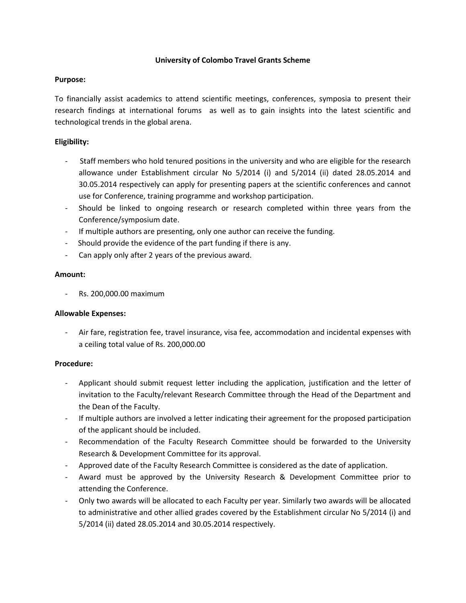### **University of Colombo Travel Grants Scheme**

### **Purpose:**

To financially assist academics to attend scientific meetings, conferences, symposia to present their research findings at international forums as well as to gain insights into the latest scientific and technological trends in the global arena.

# **Eligibility:**

- Staff members who hold tenured positions in the university and who are eligible for the research allowance under Establishment circular No 5/2014 (i) and 5/2014 (ii) dated 28.05.2014 and 30.05.2014 respectively can apply for presenting papers at the scientific conferences and cannot use for Conference, training programme and workshop participation.
- Should be linked to ongoing research or research completed within three years from the Conference/symposium date.
- If multiple authors are presenting, only one author can receive the funding.
- Should provide the evidence of the part funding if there is any.
- Can apply only after 2 years of the previous award.

## **Amount:**

- Rs. 200,000.00 maximum

### **Allowable Expenses:**

- Air fare, registration fee, travel insurance, visa fee, accommodation and incidental expenses with a ceiling total value of Rs. 200,000.00

### **Procedure:**

- Applicant should submit request letter including the application, justification and the letter of invitation to the Faculty/relevant Research Committee through the Head of the Department and the Dean of the Faculty.
- If multiple authors are involved a letter indicating their agreement for the proposed participation of the applicant should be included.
- Recommendation of the Faculty Research Committee should be forwarded to the University Research & Development Committee for its approval.
- Approved date of the Faculty Research Committee is considered as the date of application.
- Award must be approved by the University Research & Development Committee prior to attending the Conference.
- Only two awards will be allocated to each Faculty per year. Similarly two awards will be allocated to administrative and other allied grades covered by the Establishment circular No 5/2014 (i) and 5/2014 (ii) dated 28.05.2014 and 30.05.2014 respectively.